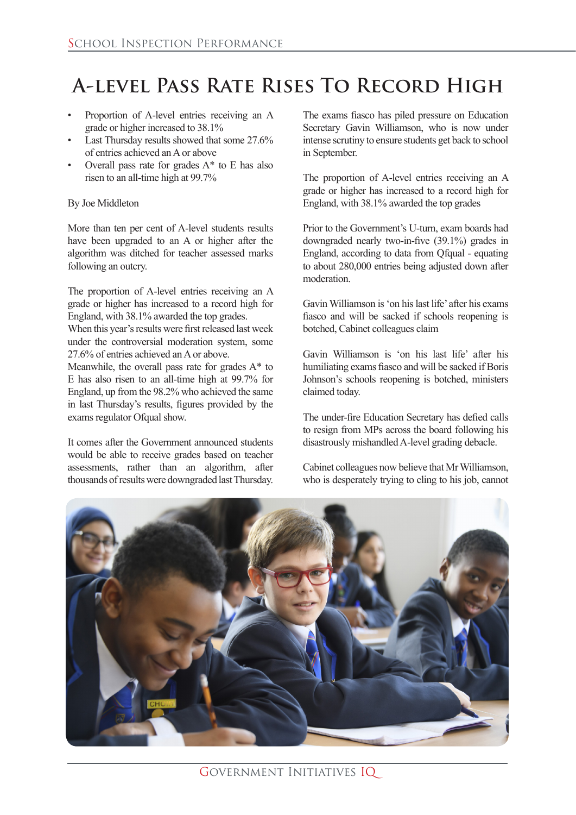## **A-level Pass Rate Rises To Record High**

- Proportion of A-level entries receiving an A grade or higher increased to 38.1%
- Last Thursday results showed that some 27.6% of entries achieved anAor above
- Overall pass rate for grades  $A^*$  to E has also risen to an all-time high at 99.7%

## By Joe Middleton

More than ten per cent of A-level students results have been upgraded to an A or higher after the algorithm was ditched for teacher assessed marks following an outcry.

The proportion of A-level entries receiving an A grade or higher has increased to a record high for England, with 38.1% awarded the top grades.

When this year's results were first released last week under the controversial moderation system, some 27.6% of entries achieved an A or above.

Meanwhile, the overall pass rate for grades  $A^*$  to E has also risen to an all-time high at 99.7% for England, up from the 98.2% who achieved the same in last Thursday's results, figures provided by the exams regulator Ofqual show.

It comes after the Government announced students would be able to receive grades based on teacher assessments, rather than an algorithm, after thousands ofresultswere downgraded lastThursday.

The exams fiasco has piled pressure on Education Secretary Gavin Williamson, who is now under intense scrutiny to ensure students get back to school in September.

The proportion of A-level entries receiving an A grade or higher has increased to a record high for England, with 38.1% awarded the top grades

Prior to the Government's U-turn, exam boards had downgraded nearly two-in-five (39.1%) grades in England, according to data from Qfqual - equating to about 280,000 entries being adjusted down after moderation.

Gavin Williamson is'on hislast life'after his exams fiasco and will be sacked if schools reopening is botched, Cabinet colleagues claim

Gavin Williamson is 'on his last life' after his humiliating exams fiasco and will be sacked if Boris Johnson's schools reopening is botched, ministers claimed today.

The under-fire Education Secretary has defied calls to resign from MPs across the board following his disastrously mishandledA-level grading debacle.

Cabinet colleagues now believe that MrWilliamson, who is desperately trying to cling to his job, cannot

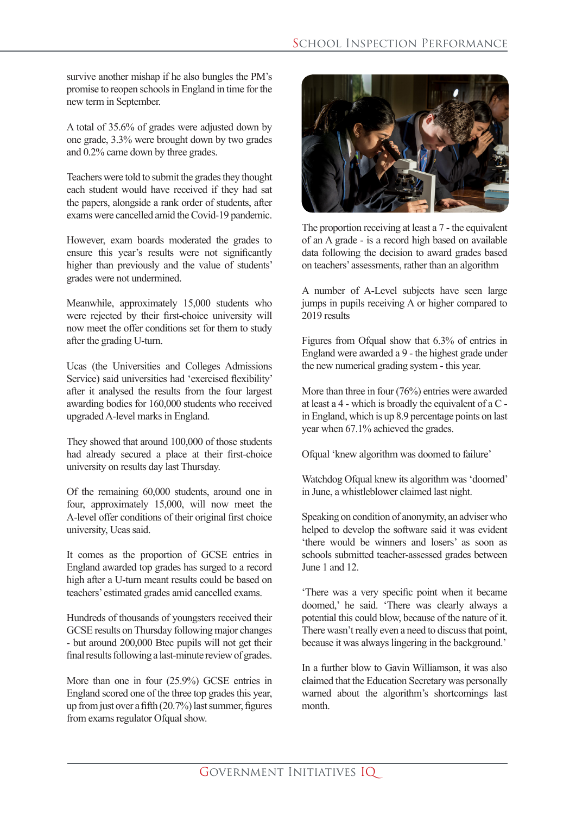survive another mishap if he also bungles the PM's promise to reopen schoolsin England in time for the new term in September.

A total of 35.6% of grades were adjusted down by one grade, 3.3% were brought down by two grades and 0.2% came down by three grades.

Teachers were told to submit the grades they thought each student would have received if they had sat the papers, alongside a rank order of students, after exams were cancelled amid the Covid-19 pandemic.

However, exam boards moderated the grades to ensure this year's results were not significantly higher than previously and the value of students' grades were not undermined.

Meanwhile, approximately 15,000 students who were rejected by their first-choice university will now meet the offer conditions set for them to study after the grading U-turn.

Ucas (the Universities and Colleges Admissions Service) said universities had 'exercised flexibility' after it analysed the results from the four largest awarding bodies for 160,000 students who received upgraded A-level marks in England.

They showed that around 100,000 of those students had already secured a place at their first-choice university on results day last Thursday.

Of the remaining 60,000 students, around one in four, approximately 15,000, will now meet the A-level offer conditions of their original first choice university. Ucas said.

It comes as the proportion of GCSE entries in England awarded top grades has surged to a record high after a U-turn meant results could be based on teachers' estimated grades amid cancelled exams.

Hundreds of thousands of youngsters received their GCSE results onThursday following major changes - but around 200,000 Btec pupils will not get their final results following a last-minute review of grades.

More than one in four (25.9%) GCSE entries in England scored one of the three top gradesthis year, up from just over a fifth  $(20.7%)$  last summer, figures from exams regulator Ofqual show.



The proportion receiving at least a 7 - the equivalent of an A grade - is a record high based on available data following the decision to award grades based on teachers' assessments, rather than an algorithm

A number of A-Level subjects have seen large jumps in pupils receiving A or higher compared to  $2019$  results

Figures from Ofqual show that 6.3% of entries in England were awarded a 9 - the highest grade under the new numerical grading system - this year.

More than three in four (76%) entries were awarded at least a 4 - which is broadly the equivalent of a C in England, which is up 8.9 percentage points on last year when 67.1% achieved the grades.

Ofqual 'knew algorithm was doomed to failure'

Watchdog Ofqual knew its algorithm was 'doomed' in June, a whistleblower claimed last night.

Speaking on condition of anonymity, an adviser who helped to develop the software said it was evident 'there would be winners and losers' as soon as schools submitted teacher-assessed grades between June 1 and 12.

'There was a very specific point when it became doomed,' he said. 'There was clearly always a potential this could blow, because of the nature of it. There wasn't really even a need to discuss that point, because it was always lingering in the background.'

In a further blow to Gavin Williamson, it was also claimed that the Education Secretary was personally warned about the algorithm's shortcomings last month.